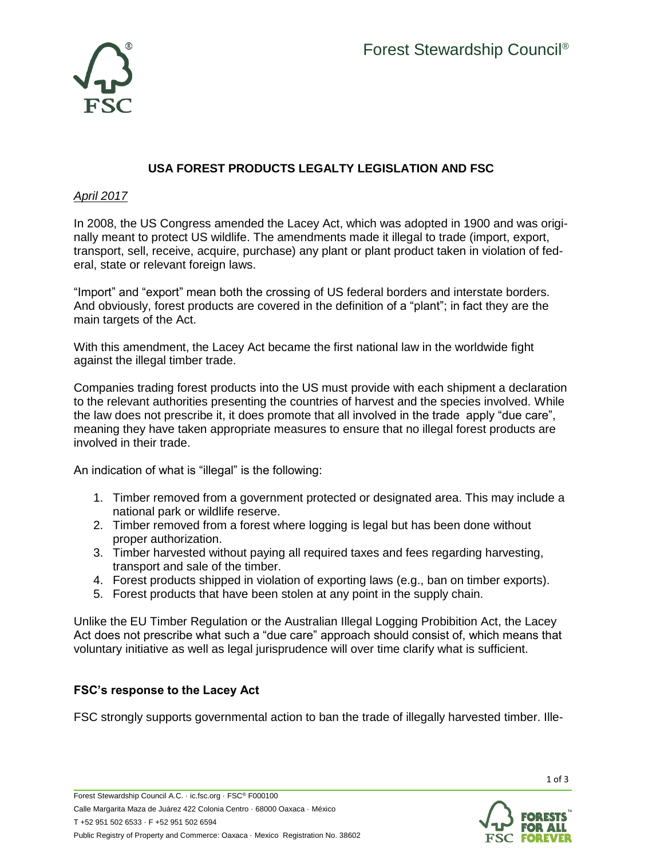

## **USA FOREST PRODUCTS LEGALTY LEGISLATION AND FSC**

## *April 2017*

In 2008, the US Congress amended the Lacey Act, which was adopted in 1900 and was originally meant to protect US wildlife. The amendments made it illegal to trade (import, export, transport, sell, receive, acquire, purchase) any plant or plant product taken in violation of federal, state or relevant foreign laws.

"Import" and "export" mean both the crossing of US federal borders and interstate borders. And obviously, forest products are covered in the definition of a "plant"; in fact they are the main targets of the Act.

With this amendment, the Lacey Act became the first national law in the worldwide fight against the illegal timber trade.

Companies trading forest products into the US must provide with each shipment a declaration to the relevant authorities presenting the countries of harvest and the species involved. While the law does not prescribe it, it does promote that all involved in the trade apply "due care", meaning they have taken appropriate measures to ensure that no illegal forest products are involved in their trade.

An indication of what is "illegal" is the following:

- 1. Timber removed from a government protected or designated area. This may include a national park or wildlife reserve.
- 2. Timber removed from a forest where logging is legal but has been done without proper authorization.
- 3. Timber harvested without paying all required taxes and fees regarding harvesting, transport and sale of the timber.
- 4. Forest products shipped in violation of exporting laws (e.g., ban on timber exports).
- 5. Forest products that have been stolen at any point in the supply chain.

Unlike the EU Timber Regulation or the Australian Illegal Logging Probibition Act, the Lacey Act does not prescribe what such a "due care" approach should consist of, which means that voluntary initiative as well as legal jurisprudence will over time clarify what is sufficient.

## **FSC's response to the Lacey Act**

FSC strongly supports governmental action to ban the trade of illegally harvested timber. Ille-



1 of 3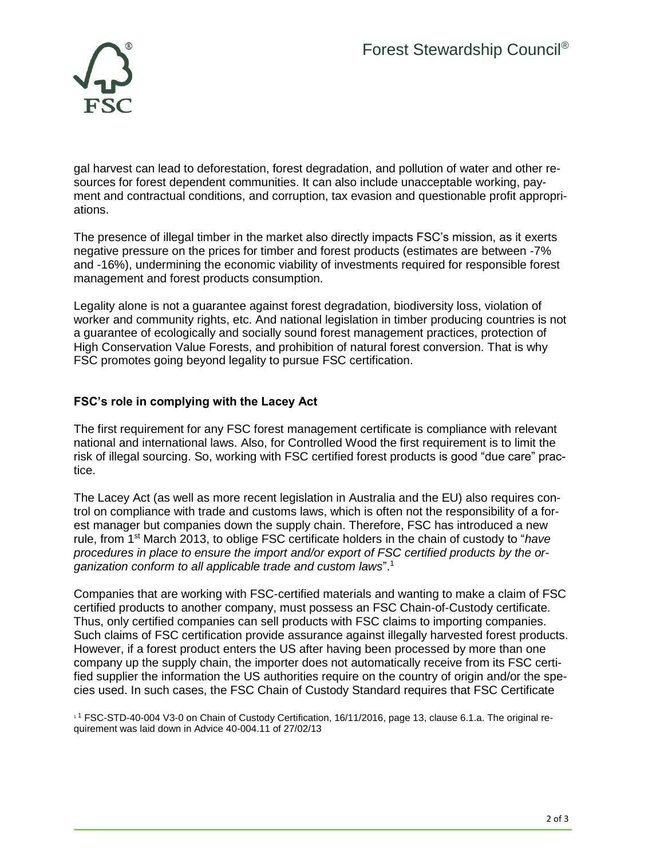

gal harvest can lead to deforestation, forest degradation, and pollution of water and other resources for forest dependent communities. It can also include unacceptable working, payment and contractual conditions, and corruption, tax evasion and questionable profit appropriations.

The presence of illegal timber in the market also directly impacts FSC's mission, as it exerts negative pressure on the prices for timber and forest products (estimates are between -7% and -16%), undermining the economic viability of investments required for responsible forest management and forest products consumption.

Legality alone is not a guarantee against forest degradation, biodiversity loss, violation of worker and community rights, etc. And national legislation in timber producing countries is not a guarantee of ecologically and socially sound forest management practices, protection of High Conservation Value Forests, and prohibition of natural forest conversion. That is why FSC promotes going beyond legality to pursue FSC certification.

## **FSC's role in complying with the Lacey Act**

The first requirement for any FSC forest management certificate is compliance with relevant national and international laws. Also, for Controlled Wood the first requirement is to limit the risk of illegal sourcing. So, working with FSC certified forest products is good "due care" practice.

The Lacey Act (as well as more recent legislation in Australia and the EU) also requires control on compliance with trade and customs laws, which is often not the responsibility of a forest manager but companies down the supply chain. Therefore, FSC has introduced a new rule, from 1st March 2013, to oblige FSC certificate holders in the chain of custody to "*have procedures in place to ensure the import and/or export of FSC certified products by the organization conform to all applicable trade and custom laws*".<sup>1</sup>

Companies that are working with FSC-certified materials and wanting to make a claim of FSC certified products to another company, must possess an FSC Chain-of-Custody certificate. Thus, only certified companies can sell products with FSC claims to importing companies. Such claims of FSC certification provide assurance against illegally harvested forest products. However, if a forest product enters the US after having been processed by more than one company up the supply chain, the importer does not automatically receive from its FSC certified supplier the information the US authorities require on the country of origin and/or the species used. In such cases, the FSC Chain of Custody Standard requires that FSC Certificate

<sup>1</sup> <sup>1</sup> FSC-STD-40-004 V3-0 on Chain of Custody Certification, 16/11/2016, page 13, clause 6.1.a. The original requirement was laid down in Advice 40-004.11 of 27/02/13